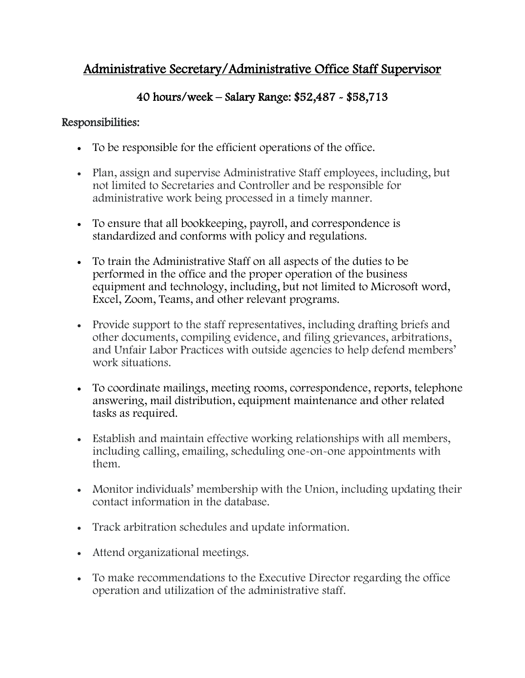## Administrative Secretary/Administrative Office Staff Supervisor

## 40 hours/week – Salary Range: \$52,487 - \$58,713

## Responsibilities:

- To be responsible for the efficient operations of the office.
- Plan, assign and supervise Administrative Staff employees, including, but not limited to Secretaries and Controller and be responsible for administrative work being processed in a timely manner.
- To ensure that all bookkeeping, payroll, and correspondence is standardized and conforms with policy and regulations.
- To train the Administrative Staff on all aspects of the duties to be performed in the office and the proper operation of the business equipment and technology, including, but not limited to Microsoft word, Excel, Zoom, Teams, and other relevant programs.
- Provide support to the staff representatives, including drafting briefs and other documents, compiling evidence, and filing grievances, arbitrations, and Unfair Labor Practices with outside agencies to help defend members' work situations.
- To coordinate mailings, meeting rooms, correspondence, reports, telephone answering, mail distribution, equipment maintenance and other related tasks as required.
- Establish and maintain effective working relationships with all members, including calling, emailing, scheduling one-on-one appointments with them.
- Monitor individuals' membership with the Union, including updating their contact information in the database.
- Track arbitration schedules and update information.
- Attend organizational meetings.
- To make recommendations to the Executive Director regarding the office operation and utilization of the administrative staff.